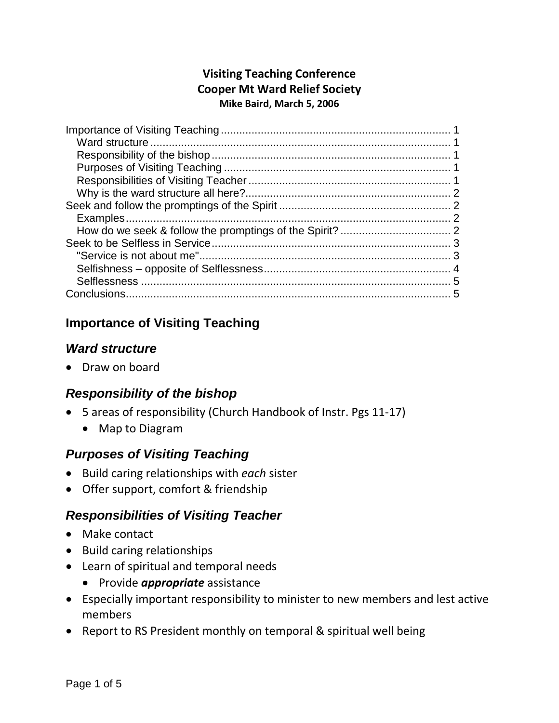## **Visiting Teaching Conference Cooper Mt Ward Relief Society Mike Baird, March 5, 2006**

# <span id="page-0-0"></span>**Importance of Visiting Teaching**

## <span id="page-0-1"></span>*Ward structure*

• Draw on board

# <span id="page-0-2"></span>*Responsibility of the bishop*

- 5 areas of responsibility (Church Handbook of Instr. Pgs 11-17)
	- Map to Diagram

# <span id="page-0-3"></span>*Purposes of Visiting Teaching*

- Build caring relationships with *each* sister
- Offer support, comfort & friendship

# <span id="page-0-4"></span>*Responsibilities of Visiting Teacher*

- Make contact
- Build caring relationships
- Learn of spiritual and temporal needs
	- Provide *appropriate* assistance
- Especially important responsibility to minister to new members and lest active members
- Report to RS President monthly on temporal & spiritual well being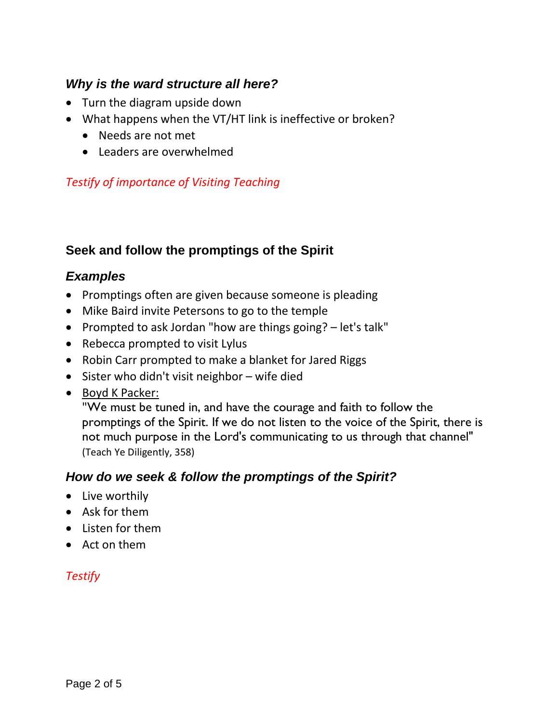## <span id="page-1-0"></span>*Why is the ward structure all here?*

- Turn the diagram upside down
- What happens when the VT/HT link is ineffective or broken?
	- Needs are not met
	- Leaders are overwhelmed

#### *Testify of importance of Visiting Teaching*

## <span id="page-1-1"></span>**Seek and follow the promptings of the Spirit**

#### <span id="page-1-2"></span>*Examples*

- Promptings often are given because someone is pleading
- Mike Baird invite Petersons to go to the temple
- Prompted to ask Jordan "how are things going? let's talk"
- Rebecca prompted to visit Lylus
- Robin Carr prompted to make a blanket for Jared Riggs
- Sister who didn't visit neighbor wife died
- Boyd K Packer:

"We must be tuned in, and have the courage and faith to follow the promptings of the Spirit. If we do not listen to the voice of the Spirit, there is not much purpose in the Lord's communicating to us through that channel" (Teach Ye Diligently, 358)

## <span id="page-1-3"></span>*How do we seek & follow the promptings of the Spirit?*

- Live worthily
- Ask for them
- Listen for them
- Act on them

## <span id="page-1-4"></span>*Testify*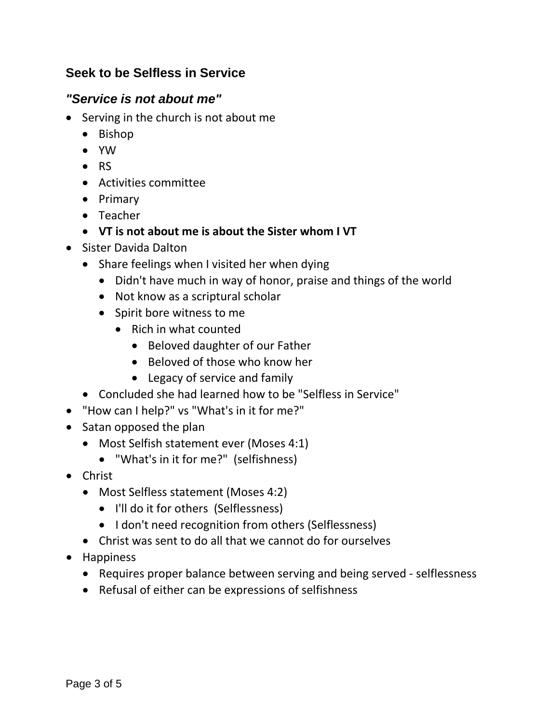## **Seek to be Selfless in Service**

## <span id="page-2-0"></span>*"Service is not about me"*

- Serving in the church is not about me
	- Bishop
	- YW
	- RS
	- Activities committee
	- Primary
	- Teacher
	- **VT is not about me is about the Sister whom I VT**
- Sister Davida Dalton
	- Share feelings when I visited her when dying
		- Didn't have much in way of honor, praise and things of the world
		- Not know as a scriptural scholar
		- Spirit bore witness to me
			- Rich in what counted
				- Beloved daughter of our Father
				- Beloved of those who know her
				- Legacy of service and family
	- Concluded she had learned how to be "Selfless in Service"
- "How can I help?" vs "What's in it for me?"
- Satan opposed the plan
	- Most Selfish statement ever (Moses 4:1)
		- "What's in it for me?" (selfishness)
- Christ
	- Most Selfless statement (Moses 4:2)
		- I'll do it for others (Selflessness)
		- I don't need recognition from others (Selflessness)
	- Christ was sent to do all that we cannot do for ourselves
- <span id="page-2-1"></span>• Happiness
	- Requires proper balance between serving and being served selflessness
	- Refusal of either can be expressions of selfishness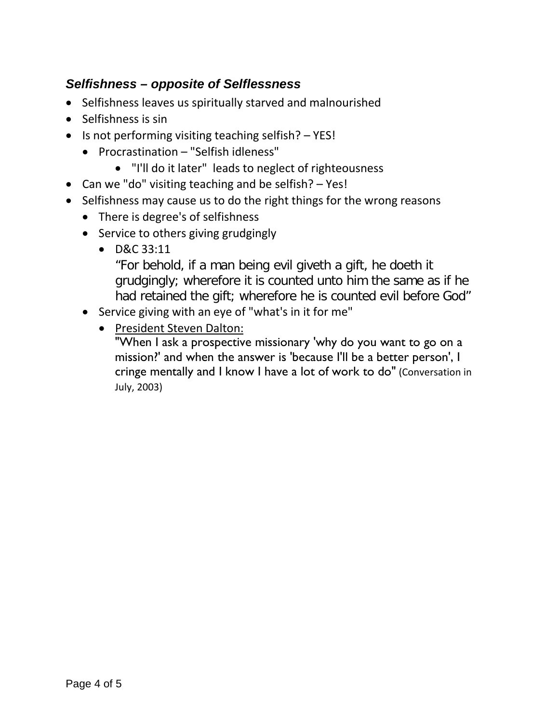## *Selfishness – opposite of Selflessness*

- Selfishness leaves us spiritually starved and malnourished
- Selfishness is sin
- Is not performing visiting teaching selfish? YES!
	- Procrastination "Selfish idleness"
		- "I'll do it later" leads to neglect of righteousness
- Can we "do" visiting teaching and be selfish? Yes!
- Selfishness may cause us to do the right things for the wrong reasons
	- There is degree's of selfishness
	- Service to others giving grudgingly
		- D&C 33:11

"For behold, if a man being evil giveth a gift, he doeth it grudgingly; wherefore it is counted unto him the same as if he had retained the gift; wherefore he is counted evil before God"

- Service giving with an eye of "what's in it for me"
	- President Steven Dalton:

<span id="page-3-0"></span>"When I ask a prospective missionary 'why do you want to go on a mission?' and when the answer is 'because I'll be a better person', I cringe mentally and I know I have a lot of work to do" (Conversation in July, 2003)